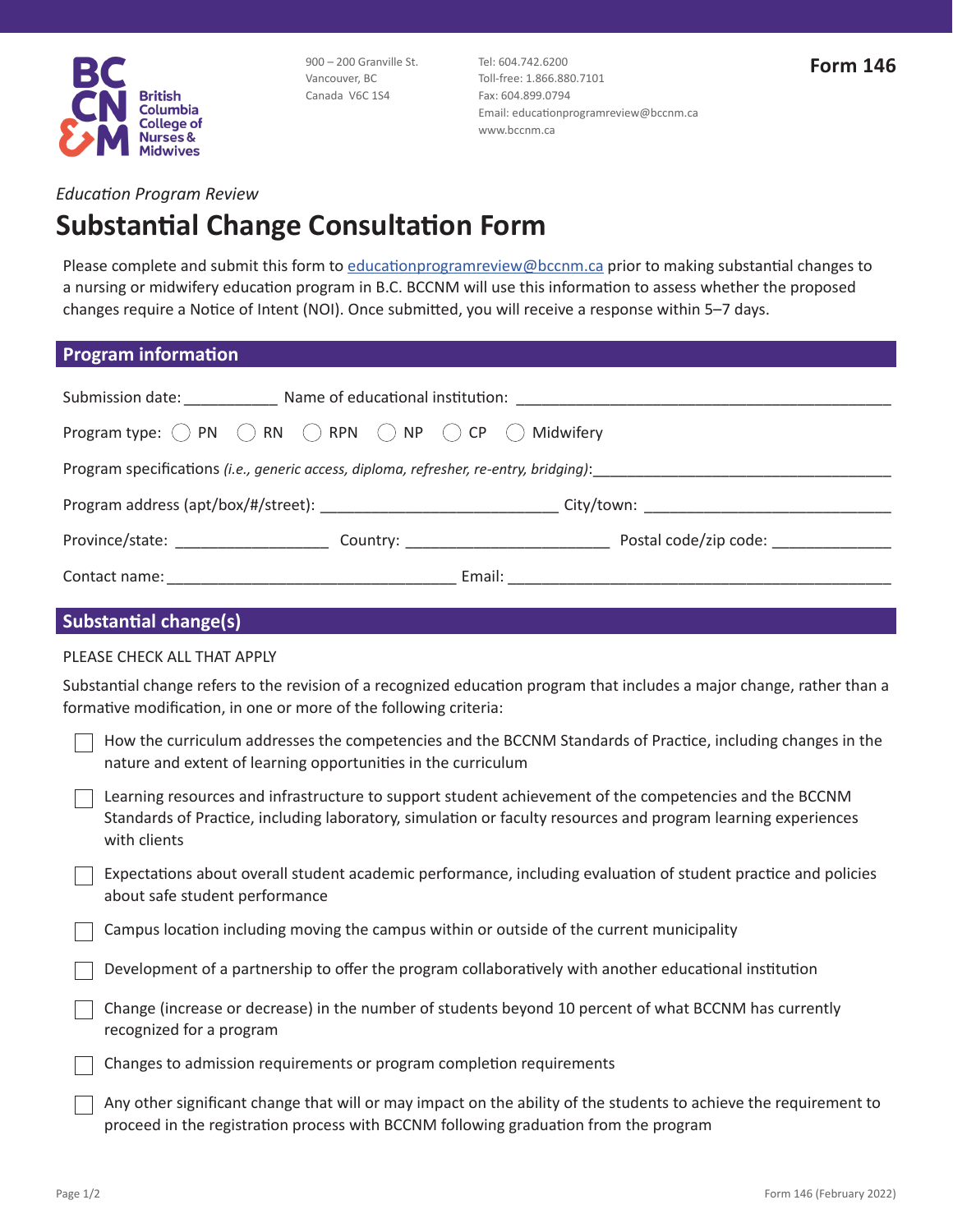

900 – 200 Granville St. Vancouver, BC Canada V6C 1S4

Tel: 604.742.6200 Toll-free: 1.866.880.7101 Fax: 604.899.0794 Email: [educationprogramreview@bccnm.ca](mailto:educationprogramreview@bccnm.ca) www.bccnm.ca

#### *Education Program Review*

# **Substantial Change Consultation Form**

Please complete and submit this form to [educationprogramreview@bccnm.ca](mailto:educationprogramreview@bccnm.ca) prior to making substantial changes to a nursing or midwifery education program in B.C. BCCNM will use this information to assess whether the proposed changes require a Notice of Intent (NOI). Once submitted, you will receive a response within 5–7 days.

#### **Program information**

|                                                                                                                                                                                                                                |  | Submission date: ______________ Name of educational institution: __________________________________ |  |
|--------------------------------------------------------------------------------------------------------------------------------------------------------------------------------------------------------------------------------|--|-----------------------------------------------------------------------------------------------------|--|
| Program type: $\bigcirc$ PN $\bigcirc$ RN $\bigcirc$ RPN $\bigcirc$ NP $\bigcirc$ CP $\bigcirc$ Midwifery                                                                                                                      |  |                                                                                                     |  |
| Program specifications (i.e., generic access, diploma, refresher, re-entry, bridging): entertainment contains the state of the state of the state of the state of the state of the state of the state of the state of the stat |  |                                                                                                     |  |
| Program address (apt/box/#/street): ___________________________________City/town: ____________________________                                                                                                                 |  |                                                                                                     |  |
|                                                                                                                                                                                                                                |  |                                                                                                     |  |
|                                                                                                                                                                                                                                |  |                                                                                                     |  |
| <b>Substantial change(s)</b>                                                                                                                                                                                                   |  |                                                                                                     |  |

#### PLEASE CHECK ALL THAT APPLY

Substantial change refers to the revision of a recognized education program that includes a major change, rather than a formative modification, in one or more of the following criteria:

| How the curriculum addresses the competencies and the BCCNM Standards of Practice, including changes in the<br>nature and extent of learning opportunities in the curriculum                                                            |
|-----------------------------------------------------------------------------------------------------------------------------------------------------------------------------------------------------------------------------------------|
| Learning resources and infrastructure to support student achievement of the competencies and the BCCNM<br>Standards of Practice, including laboratory, simulation or faculty resources and program learning experiences<br>with clients |
| Expectations about overall student academic performance, including evaluation of student practice and policies<br>about safe student performance                                                                                        |
| Campus location including moving the campus within or outside of the current municipality                                                                                                                                               |
| Development of a partnership to offer the program collaboratively with another educational institution                                                                                                                                  |
| Change (increase or decrease) in the number of students beyond 10 percent of what BCCNM has currently<br>recognized for a program                                                                                                       |
| Changes to admission requirements or program completion requirements                                                                                                                                                                    |
| Any other significant change that will or may impact on the ability of the students to achieve the requirement to                                                                                                                       |

proceed in the registration process with BCCNM following graduation from the program